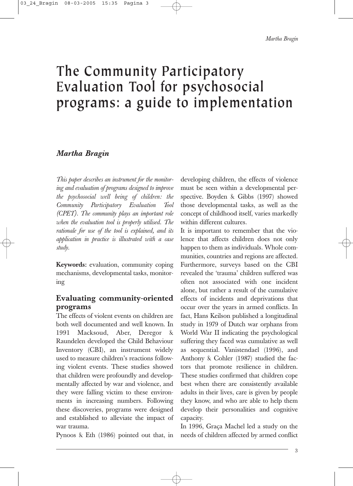*Martha Bragin*

# **The Community Participatory Evaluation Tool for psychosocial programs: a guide to implementation**

# *Martha Bragin*

*This paper describes an instrument for the monitoring and evaluation of programs designed to improve the psychosocial well being of children: the Community Participatory Evaluation Tool (CPET). The community plays an important role when the evaluation tool is properly utilised. The rationale for use of the tool is explained, and its application in practice is illustrated with a case study.*

**Keywords:** evaluation, community coping mechanisms, developmental tasks, monitoring

# **Evaluating community-oriented programs**

The effects of violent events on children are both well documented and well known. In 1991 Macksoud, Aber, Deregor & Raundelen developed the Child Behaviour Inventory (CBI), an instrument widely used to measure children's reactions following violent events. These studies showed that children were profoundly and developmentally affected by war and violence, and they were falling victim to these environments in increasing numbers. Following these discoveries, programs were designed and established to alleviate the impact of war trauma.

Pynoos & Eth (1986) pointed out that, in

developing children, the effects of violence must be seen within a developmental perspective. Boyden & Gibbs (1997) showed those developmental tasks, as well as the concept of childhood itself, varies markedly within different cultures.

It is important to remember that the violence that affects children does not only happen to them as individuals. Whole communities, countries and regions are affected. Furthermore, surveys based on the CBI revealed the 'trauma' children suffered was often not associated with one incident alone, but rather a result of the cumulative effects of incidents and deprivations that occur over the years in armed conflicts. In fact, Hans Keilson published a longitudinal study in 1979 of Dutch war orphans from World War II indicating the psychological suffering they faced was cumulative as well as sequential. Vanistendael (1996), and Anthony & Cohler (1987) studied the factors that promote resilience in children. These studies confirmed that children cope best when there are consistently available adults in their lives, care is given by people they know, and who are able to help them develop their personalities and cognitive capacity.

In 1996, Graça Machel led a study on the needs of children affected by armed conflict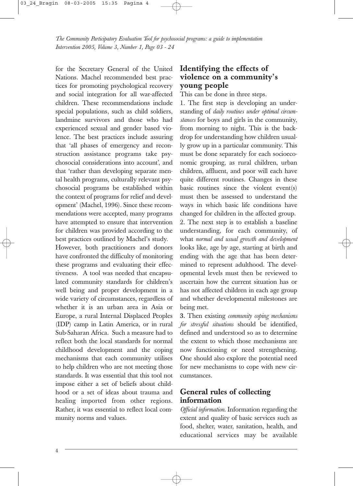for the Secretary General of the United Nations. Machel recommended best practices for promoting psychological recovery and social integration for all war-affected children. These recommendations include special populations, such as child soldiers, landmine survivors and those who had experienced sexual and gender based violence. The best practices include assuring that 'all phases of emergency and reconstruction assistance programs take psychosocial considerations into account', and that 'rather than developing separate mental health programs, culturally relevant psychosocial programs be established within the context of programs for relief and development' (Machel, 1996). Since these recommendations were accepted, many programs have attempted to ensure that intervention for children was provided according to the best practices outlined by Machel's study.

However, both practitioners and donors have confronted the difficulty of monitoring these programs and evaluating their effectiveness. A tool was needed that encapsulated community standards for children's well being and proper development in a wide variety of circumstances, regardless of whether it is an urban area in Asia or Europe, a rural Internal Displaced Peoples (IDP) camp in Latin America, or in rural Sub-Saharan Africa. Such a measure had to reflect both the local standards for normal childhood development and the coping mechanisms that each community utilises to help children who are not meeting those standards. It was essential that this tool not impose either a set of beliefs about childhood or a set of ideas about trauma and healing imported from other regions. Rather, it was essential to reflect local community norms and values.

# **Identifying the effects of violence on a community's young people**

This can be done in three steps.

1. The first step is developing an understanding of *daily routines under optimal circumstances* for boys and girls in the community, from morning to night. This is the backdrop for understanding how children usually grow up in a particular community. This must be done separately for each socioeconomic grouping, as rural children, urban children, affluent, and poor will each have quite different routines. Changes in these basic routines since the violent event(s) must then be assessed to understand the ways in which basic life conditions have changed for children in the affected group. 2. The next step is to establish a baseline understanding, for each community, of what *normal and usual growth and development* looks like, age by age, starting at birth and ending with the age that has been determined to represent adulthood. The developmental levels must then be reviewed to ascertain how the current situation has or has not affected children in each age group and whether developmental milestones are being met.

**3.** Then existing *community coping mechanisms for stressful situations* should be identified, defined and understood so as to determine the extent to which those mechanisms are now functioning or need strengthening. One should also explore the potential need for new mechanisms to cope with new circumstances.

# **General rules of collecting information**

*Official information*. Information regarding the extent and quality of basic services such as food, shelter, water, sanitation, health, and educational services may be available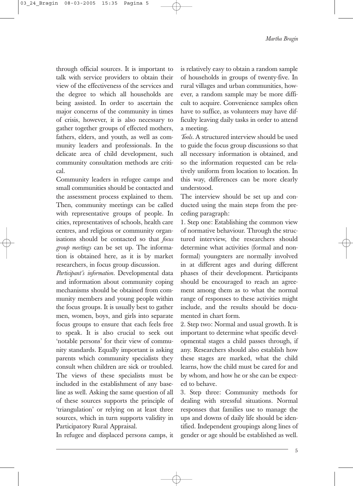*Martha Bragin*

through official sources*.* It is important to talk with service providers to obtain their view of the effectiveness of the services and the degree to which all households are being assisted. In order to ascertain the major concerns of the community in times of crisis, however, it is also necessary to gather together groups of effected mothers, fathers, elders, and youth, as well as community leaders and professionals. In the delicate area of child development, such community consultation methods are critical.

Community leaders in refugee camps and small communities should be contacted and the assessment process explained to them. Then, community meetings can be called with representative groups of people. In cities, representatives of schools, health care centres, and religious or community organisations should be contacted so that *focus group meetings* can be set up. The information is obtained here, as it is by market researchers, in focus group discussion.

*Participant's information.* Developmental data and information about community coping mechanisms should be obtained from community members and young people within the focus groups. It is usually best to gather men, women, boys, and girls into separate focus groups to ensure that each feels free to speak. It is also crucial to seek out 'notable persons' for their view of community standards. Equally important is asking parents which community specialists they consult when children are sick or troubled. The views of these specialists must be included in the establishment of any baseline as well. Asking the same question of all of these sources supports the principle of 'triangulation' or relying on at least three sources, which in turn supports validity in Participatory Rural Appraisal.

In refugee and displaced persons camps, it

is relatively easy to obtain a random sample of households in groups of twenty-five. In rural villages and urban communities, however, a random sample may be more difficult to acquire. Convenience samples often have to suffice, as volunteers may have difficulty leaving daily tasks in order to attend a meeting.

*Tools.* A structured interview should be used to guide the focus group discussions so that all necessary information is obtained, and so the information requested can be relatively uniform from location to location. In this way, differences can be more clearly understood.

The interview should be set up and conducted using the main steps from the preceding paragraph:

1. Step one: Establishing the common view of normative behaviour. Through the structured interview, the researchers should determine what activities (formal and nonformal) youngsters are normally involved in at different ages and during different phases of their development. Participants should be encouraged to reach an agreement among them as to what the normal range of responses to these activities might include, and the results should be documented in chart form.

2. Step two: Normal and usual growth. It is important to determine what specific developmental stages a child passes through, if any. Researchers should also establish how these stages are marked, what the child learns, how the child must be cared for and by whom, and how he or she can be expected to behave.

3. Step three: Community methods for dealing with stressful situations. Normal responses that families use to manage the ups and downs of daily life should be identified. Independent groupings along lines of gender or age should be established as well.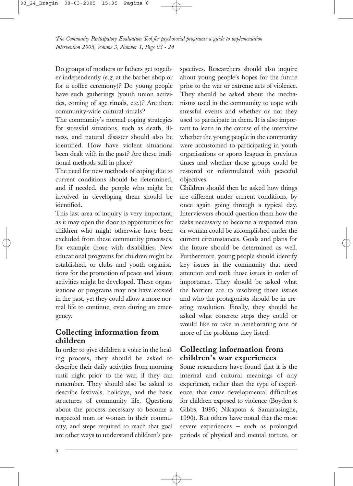Do groups of mothers or fathers get together independently (e.g. at the barber shop or for a coffee ceremony)? Do young people have such gatherings (youth union activities, coming of age rituals, etc.)? Are there community-wide cultural rituals?

The community's normal coping strategies for stressful situations, such as death, illness, and natural disaster should also be identified. How have violent situations been dealt with in the past? Are these traditional methods still in place?

The need for new methods of coping due to current conditions should be determined, and if needed, the people who might be involved in developing them should be identified.

This last area of inquiry is very important, as it may open the door to opportunities for children who might otherwise have been excluded from these community processes, for example those with disabilities. New educational programs for children might be established, or clubs and youth organisations for the promotion of peace and leisure activities might be developed. These organisations or programs may not have existed in the past, yet they could allow a more normal life to continue, even during an emergency.

# **Collecting information from children**

In order to give children a voice in the healing process**,** they should be asked to describe their daily activities from morning until night prior to the war, if they can remember. They should also be asked to describe festivals, holidays, and the basic structures of community life. Questions about the process necessary to become a respected man or woman in their community, and steps required to reach that goal are other ways to understand children's perspectives. Researchers should also inquire about young people's hopes for the future prior to the war or extreme acts of violence. They should be asked about the mechanisms used in the community to cope with stressful events and whether or not they used to participate in them. It is also important to learn in the course of the interview whether the young people in the community were accustomed to participating in youth organisations or sports leagues in previous times and whether those groups could be restored or reformulated with peaceful objectives.

Children should then be asked how things are different under current conditions, by once again going through a typical day. Interviewers should question them how the tasks necessary to become a respected man or woman could be accomplished under the current circumstances. Goals and plans for the future should be determined as well. Furthermore, young people should identify key issues in the community that need attention and rank those issues in order of importance. They should be asked what the barriers are to resolving those issues and who the protagonists should be in creating resolution. Finally, they should be asked what concrete steps they could or would like to take in ameliorating one or more of the problems they listed.

# **Collecting information from children's war experiences**

Some researchers have found that it is the internal and cultural meanings of any experience, rather than the type of experience, that cause developmental difficulties for children exposed to violence (Boyden & Gibbs, 1995; Nikapota & Samarasinghe, 1990). But others have noted that the most severe experiences — such as prolonged periods of physical and mental torture, or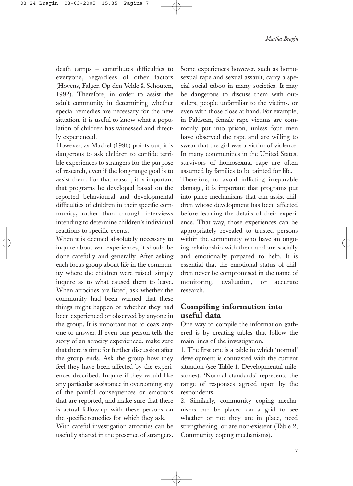death camps — contributes difficulties to everyone, regardless of other factors (Hovens, Falger, Op den Velde & Schouten, 1992). Therefore, in order to assist the adult community in determining whether special remedies are necessary for the new situation, it is useful to know what a population of children has witnessed and directly experienced.

However, as Machel (1996) points out, it is dangerous to ask children to confide terrible experiences to strangers for the purpose of research, even if the long-range goal is to assist them. For that reason, it is important that programs be developed based on the reported behavioural and developmental difficulties of children in their specific community**,** rather than through interviews intending to determine children's individual reactions to specific events.

When it is deemed absolutely necessary to inquire about war experiences, it should be done carefully and generally. After asking each focus group about life in the community where the children were raised, simply inquire as to what caused them to leave. When atrocities are listed, ask whether the community had been warned that these things might happen or whether they had been experienced or observed by anyone in the group**.** It is important not to coax anyone to answer. If even one person tells the story of an atrocity experienced, make sure that there is time for further discussion after the group ends. Ask the group how they feel they have been affected by the experiences described. Inquire if they would like any particular assistance in overcoming any of the painful consequences or emotions that are reported, and make sure that there is actual follow-up with these persons on the specific remedies for which they ask.

With careful investigation atrocities can be usefully shared in the presence of strangers. Some experiences however, such as homosexual rape and sexual assault, carry a special social taboo in many societies. It may be dangerous to discuss them with outsiders, people unfamiliar to the victims, or even with those close at hand. For example, in Pakistan, female rape victims are commonly put into prison, unless four men have observed the rape and are willing to swear that the girl was a victim of violence. In many communities in the United States, survivors of homosexual rape are often assumed by families to be tainted for life.

Therefore, to avoid inflicting irreparable damage, it is important that programs put into place mechanisms that can assist children whose development has been affected before learning the details of their experience. That way, those experiences can be appropriately revealed to trusted persons within the community who have an ongoing relationship with them and are socially and emotionally prepared to help. It is essential that the emotional status of children never be compromised in the name of monitoring, evaluation, or accurate research.

# **Compiling information into useful data**

One way to compile the information gathered is by creating tables that follow the main lines of the investigation.

1. The first one is a table in which 'normal' development is contrasted with the current situation (see Table 1, Developmental milestones). 'Normal standards' represents the range of responses agreed upon by the respondents.

2. Similarly, community coping mechanisms can be placed on a grid to see whether or not they are in place, need strengthening, or are non-existent (Table 2, Community coping mechanisms).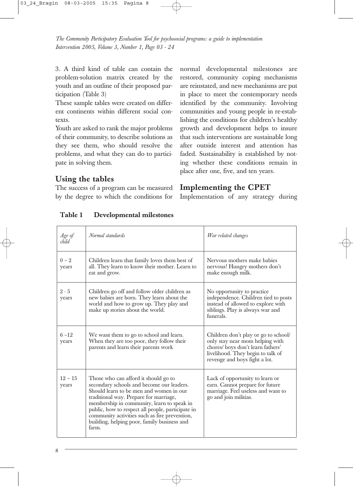3. A third kind of table can contain the problem-solution matrix created by the youth and an outline of their proposed participation (Table 3)

These sample tables were created on different continents within different social contexts.

Youth are asked to rank the major problems of their community, to describe solutions as they see them, who should resolve the problems, and what they can do to participate in solving them.

# **Using the tables**

The success of a program can be measured by the degree to which the conditions for normal developmental milestones are restored, community coping mechanisms are reinstated, and new mechanisms are put in place to meet the contemporary needs identified by the community. Involving communities and young people in re-establishing the conditions for children's healthy growth and development helps to insure that such interventions are sustainable long after outside interest and attention has faded. Sustainability is established by noting whether these conditions remain in place after one, five, and ten years.

# **Implementing the CPET**

Implementation of any strategy during

| Age of<br>child    | Normal standards                                                                                                                                                                                                                                                                                                                                                                   | War related changes                                                                                                                                                               |
|--------------------|------------------------------------------------------------------------------------------------------------------------------------------------------------------------------------------------------------------------------------------------------------------------------------------------------------------------------------------------------------------------------------|-----------------------------------------------------------------------------------------------------------------------------------------------------------------------------------|
| $0 - 2$<br>years   | Children learn that family loves them best of<br>all. They learn to know their mother. Learn to<br>eat and grow.                                                                                                                                                                                                                                                                   | Nervous mothers make babies<br>nervous! Hungry mothers don't<br>make enough milk.                                                                                                 |
| $2 - 5$<br>years   | Children go off and follow older children as<br>new babies are born. They learn about the<br>world and how to grow up. They play and<br>make up stories about the world.                                                                                                                                                                                                           | No opportunity to practice<br>independence. Children tied to posts<br>instead of allowed to explore with<br>siblings. Play is always war and<br>funerals.                         |
| $6 - 12$<br>years  | We want them to go to school and learn.<br>When they are too poor, they follow their<br>parents and learn their parents work                                                                                                                                                                                                                                                       | Children don't play or go to school/<br>only stay near mom helping with<br>chores/boys don't learn fathers'<br>livelihood. They begin to talk of<br>revenge and boys fight a lot. |
| $12 - 15$<br>years | Those who can afford it should go to<br>secondary schools and become our leaders.<br>Should learn to be men and women in our<br>traditional way. Prepare for marriage,<br>membership in community, learn to speak in<br>public, how to respect all people, participate in<br>community activities such as fire prevention,<br>building, helping poor, family business and<br>farm. | Lack of opportunity to learn or<br>earn. Cannot prepare for future<br>marriage. Feel useless and want to<br>go and join militias.                                                 |

**Table 1 Developmental milestones**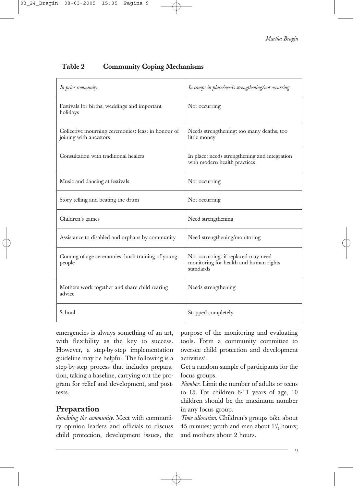# **Table 2 Community Coping Mechanisms**

| In prior community                                                           | In camp: in place/needs strengthening/not occurring                                        |
|------------------------------------------------------------------------------|--------------------------------------------------------------------------------------------|
| Festivals for births, weddings and important<br>holidays                     | Not occurring                                                                              |
| Collective mourning ceremonies: feast in honour of<br>joining with ancestors | Needs strengthening: too many deaths, too<br>little money                                  |
| Consultation with traditional healers                                        | In place: needs strengthening and integration<br>with modern health practices              |
| Music and dancing at festivals                                               | Not occurring                                                                              |
| Story telling and beating the drum                                           | Not occurring                                                                              |
| Children's games                                                             | Need strengthening                                                                         |
| Assistance to disabled and orphans by community                              | Need strengthening/monitoring                                                              |
| Coming of age ceremonies: bush training of young<br>people                   | Not occurring: if replaced may need<br>monitoring for health and human rights<br>standards |
| Mothers work together and share child rearing<br>advice                      | Needs strengthening                                                                        |
| School                                                                       | Stopped completely                                                                         |

emergencies is always something of an art, with flexibility as the key to success. However, a step-by-step implementation guideline may be helpful. The following is a step-by-step process that includes preparation, taking a baseline, carrying out the program for relief and development, and posttests.

# **Preparation**

*Involving the community.* Meet with community opinion leaders and officials to discuss child protection, development issues, the purpose of the monitoring and evaluating tools. Form a community committee to oversee child protection and development activities<sup>1</sup>.

Get a random sample of participants for the focus groups.

*Number*. Limit the number of adults or teens to 15. For children 6-11 years of age, 10 children should be the maximum number in any focus group.

*Time allocation*. Children's groups take about  $45$  minutes; youth and men about  $1\frac{1}{2}$  hours; and mothers about 2 hours.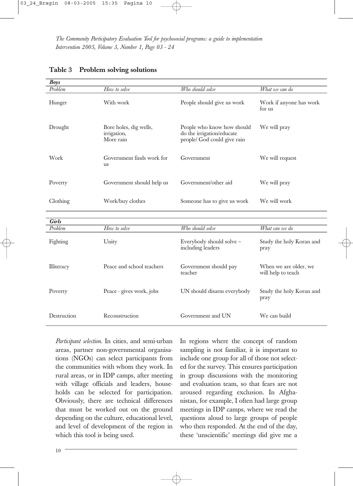| Boys                    |                                                    |                                                                                        |                                             |
|-------------------------|----------------------------------------------------|----------------------------------------------------------------------------------------|---------------------------------------------|
| Problem                 | How to solve                                       | Who should solve                                                                       | What we can do                              |
| Hunger                  | With work                                          | People should give us work                                                             | Work if anyone has work<br>for us           |
| Drought                 | Bore holes, dig wells,<br>irrigation,<br>More rain | People who know how should<br>do the irrigation/educate<br>people/ God could give rain | We will pray                                |
| Work                    | Government finds work for<br><b>us</b>             | Government                                                                             | We will request                             |
| Poverty                 | Government should help us                          | Government/other aid                                                                   | We will pray                                |
| Clothing                | Work/buy clothes                                   | Someone has to give us work                                                            | We will work                                |
|                         |                                                    |                                                                                        |                                             |
| <b>Girls</b><br>Problem | How to solve                                       | Who should solve                                                                       |                                             |
|                         |                                                    |                                                                                        | What can we do                              |
| Fighting                | Unity                                              | Everybody should solve -<br>including leaders                                          | Study the holy Koran and<br>pray            |
| Illiteracy              | Peace and school teachers                          | Government should pay<br>teacher                                                       | When we are older, we<br>will help to teach |
| Poverty                 | Peace - gives work, jobs                           | UN should disarm everybody                                                             | Study the holy Koran and<br>pray            |
| Destruction             | Reconstruction                                     | Government and UN                                                                      | We can build                                |

|  | Table 3 Problem solving solutions |  |  |
|--|-----------------------------------|--|--|
|--|-----------------------------------|--|--|

*Participant selection*. In cities, and semi-urban areas, partner non-governmental organisations (NGOs) can select participants from the communities with whom they work. In rural areas, or in IDP camps, after meeting with village officials and leaders, households can be selected for participation. Obviously, there are technical differences that must be worked out on the ground depending on the culture, educational level, and level of development of the region in which this tool is being used.

In regions where the concept of random sampling is not familiar, it is important to include one group for all of those not selected for the survey. This ensures participation in group discussions with the monitoring and evaluation team, so that fears are not aroused regarding exclusion. In Afghanistan, for example, I often had large group meetings in IDP camps, where we read the questions aloud to large groups of people who then responded. At the end of the day, these 'unscientific' meetings did give me a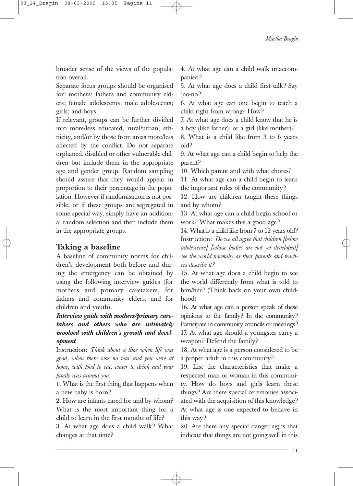broader sense of the views of the population overall.

Separate focus groups should be organised for: mothers; fathers and community elders; female adolescents; male adolescents; girls; and boys.

If relevant, groups can be further divided into more/less educated, rural/urban, ethnicity, and/or by those from areas more/less affected by the conflict. Do not separate orphaned, disabled or other vulnerable children but include them in the appropriate age and gender group. Random sampling should assure that they would appear in proportion to their percentage in the population. However if randomisation is not possible, or if these groups are segregated in some special way, simply have an additional random selection and then include them in the appropriate groups.

#### **Taking a baseline**

A baseline of community norms for children's development both before and during the emergency can be obtained by using the following interview guides (for mothers and primary caretakers, for fathers and community elders, and for children and youth).

*Interview guide with mothers/primary caretakers and others who are intimately involved with children's growth and development*

Instruction**:** *Think about a time when life was good, when there was no war and you were at home, with food to eat, water to drink and your family was around you.*

1. What is the first thing that happens when a new baby is born?

2. How are infants cared for and by whom? What is the most important thing for a child to learn in the first months of life?

3. At what age does a child walk? What changes at that time?

4. At what age can a child walk unaccompanied?

5. At what age does a child first talk? Say 'no-no?'

6. At what age can one begin to teach a child right from wrong? How?

7. At what age does a child know that he is a boy (like father), or a girl (like mother)?

8. What is a child like from 3 to 6 years old?

9. At what age can a child begin to help the parent?

10. Which parent and with what chores?

11. At what age can a child begin to learn the important rules of the community?

12. How are children taught these things and by whom?

13. At what age can a child begin school or work? What makes this a good age?

14. What is a child like from 7 to 12 years old? Instruction: *Do we all agree that children [below adolescence] [whose bodies are not yet developed] see the world normally as their parents and teachers describe it?*

15. At what age does a child begin to see the world differently from what is told to him/her? (Think back on your own childhood)

16. At what age can a person speak of these opinions to the family? In the community? Participate in community councils or meetings? 17. At what age should a youngster carry a weapon? Defend the family?

18. At what age is a person considered to be a proper adult in this community?

19. List the characteristics that make a respected man or woman in this community. How do boys and girls learn these things? Are there special ceremonies associated with the acquisition of this knowledge? At what age is one expected to behave in this way?

20. Are there any special danger signs that indicate that things are not going well in this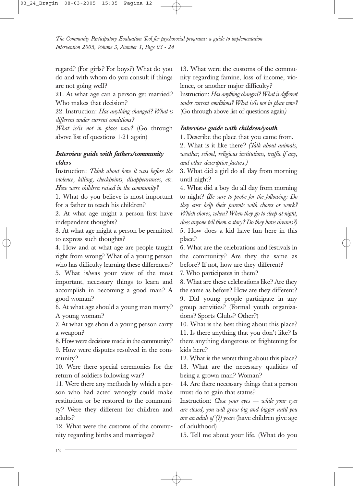regard? (For girls? For boys?) What do you do and with whom do you consult if things are not going well?

21. At what age can a person get married? Who makes that decision?

22. Instruction: *Has anything changed? What is different under current conditions?*

*What is/is not in place now?* (Go through above list of questions 1-21 again)

#### *Interview guide with fathers/community elders*

Instruction: *Think about how it was before the violence, killing, checkpoints, disappearances, etc. How were children raised in the community?*

1. What do you believe is most important for a father to teach his children?

2. At what age might a person first have independent thoughts?

3. At what age might a person be permitted to express such thoughts?

4. How and at what age are people taught right from wrong? What of a young person who has difficulty learning these differences?

5. What is/was your view of the most important, necessary things to learn and accomplish in becoming a good man? A good woman?

6. At what age should a young man marry? A young woman?

7. At what age should a young person carry a weapon?

8. How were decisions made in the community? 9. How were disputes resolved in the community?

10. Were there special ceremonies for the return of soldiers following war?

11. Were there any methods by which a person who had acted wrongly could make restitution or be restored to the community? Were they different for children and adults?

12. What were the customs of the community regarding births and marriages?

13. What were the customs of the community regarding famine, loss of income, violence, or another major difficulty?

Instruction: *Has anything changed? What is different under current conditions? What is/is not in place now?* (Go through above list of questions again*)*

#### *Interview guide with children/youth*

1. Describe the place that you came from.

2. What is it like there? *(Talk about animals, weather, school, religious institutions, traffic if any, and other descriptive factors.)*

3. What did a girl do all day from morning until night?

4. What did a boy do all day from morning to night? *(Be sure to probe for the following: Do they ever help their parents with chores or work? Which chores, when? When they go to sleep at night, does anyone tell them a story? Do they have dreams?)* 5. How does a kid have fun here in this place?

6. What are the celebrations and festivals in the community? Are they the same as before? If not, how are they different?

7. Who participates in them?

8. What are these celebrations like? Are they the same as before? How are they different? 9. Did young people participate in any group activities? (Formal youth organizations? Sports Clubs? Other?)

10. What is the best thing about this place? 11. Is there anything that you don't like? Is there anything dangerous or frightening for kids here?

12. What is the worst thing about this place? 13. What are the necessary qualities of being a grown man? Woman?

14. Are there necessary things that a person must do to gain that status?

Instruction: *Close your eyes —- while your eyes are closed, you will grow big and bigger until you are an adult of (?) years* (have children give age of adulthood)

15. Tell me about your life. (What do you

12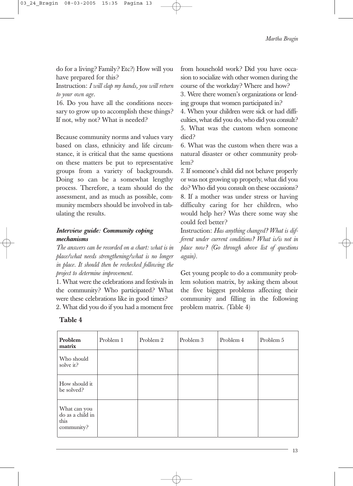do for a living? Family? Etc?) How will you have prepared for this?

Instruction: *I will clap my hands, you will return to your own age.*

16. Do you have all the conditions necessary to grow up to accomplish these things? If not, why not? What is needed?

Because community norms and values vary based on class, ethnicity and life circumstance, it is critical that the same questions on these matters be put to representative groups from a variety of backgrounds. Doing so can be a somewhat lengthy process. Therefore, a team should do the assessment, and as much as possible, community members should be involved in tabulating the results.

#### *Interview guide: Community coping mechanisms*

*The answers can be recorded on a chart: what is in place/what needs strengthening/what is no longer in place. It should then be rechecked following the project to determine improvement.*

1. What were the celebrations and festivals in the community? Who participated? What were these celebrations like in good times?

2. What did you do if you had a moment free

from household work? Did you have occasion to socialize with other women during the course of the workday? Where and how?

3. Were there women's organizations or lending groups that women participated in?

4. When your children were sick or had difficulties, what did you do, who did you consult? 5. What was the custom when someone died?

6. What was the custom when there was a natural disaster or other community problem?

7. If someone's child did not behave properly or was not growing up properly, what did you do? Who did you consult on these occasions? 8. If a mother was under stress or having difficulty caring for her children, who would help her? Was there some way she could feel better?

Instruction: *Has anything changed? What is different under current conditions? What is/is not in place now? (Go through above list of questions again).*

Get young people to do a community problem solution matrix, by asking them about the five biggest problems affecting their community and filling in the following problem matrix. (Table 4)

| Problem<br>matrix                                      | Problem 1 | Problem 2 | Problem 3 | Problem 4 | Problem 5 |
|--------------------------------------------------------|-----------|-----------|-----------|-----------|-----------|
| Who should<br>solve it?                                |           |           |           |           |           |
| How should it<br>be solved?                            |           |           |           |           |           |
| What can you<br>do as a child in<br>this<br>community? |           |           |           |           |           |

#### **Table 4**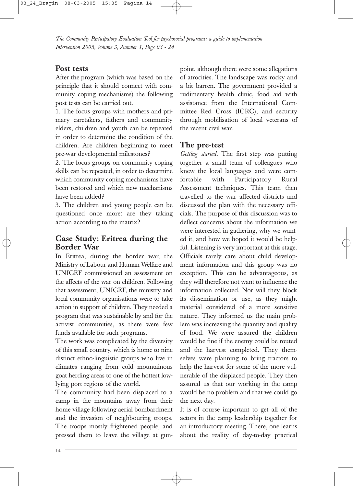# **Post tests**

After the program (which was based on the principle that it should connect with community coping mechanisms) the following post tests can be carried out.

1. The focus groups with mothers and primary caretakers, fathers and community elders, children and youth can be repeated in order to determine the condition of the children. Are children beginning to meet pre-war developmental milestones?

2. The focus groups on community coping skills can be repeated, in order to determine which community coping mechanisms have been restored and which new mechanisms have been added?

3. The children and young people can be questioned once more: are they taking action according to the matrix?

# **Case Study: Eritrea during the Border War**

In Eritrea, during the border war, the Ministry of Labour and Human Welfare and UNICEF commissioned an assessment on the affects of the war on children. Following that assessment, UNICEF, the ministry and local community organisations were to take action in support of children. They needed a program that was sustainable by and for the activist communities, as there were few funds available for such programs.

The work was complicated by the diversity of this small country, which is home to nine distinct ethno-linguistic groups who live in climates ranging from cold mountainous goat herding areas to one of the hottest lowlying port regions of the world.

The community had been displaced to a camp in the mountains away from their home village following aerial bombardment and the invasion of neighbouring troops. The troops mostly frightened people, and pressed them to leave the village at gunpoint, although there were some allegations of atrocities. The landscape was rocky and a bit barren. The government provided a rudimentary health clinic, food aid with assistance from the International Committee Red Cross (ICRC), and security through mobilisation of local veterans of the recent civil war.

#### **The pre-test**

*Getting started.* The first step was putting together a small team of colleagues who knew the local languages and were comfortable with Participatory Rural Assessment techniques. This team then travelled to the war affected districts and discussed the plan with the necessary officials. The purpose of this discussion was to deflect concerns about the information we were interested in gathering, why we wanted it, and how we hoped it would be helpful. Listening is very important at this stage. Officials rarely care about child development information and this group was no exception. This can be advantageous, as they will therefore not want to influence the information collected. Nor will they block its dissemination or use, as they might material considered of a more sensitive nature. They informed us the main problem was increasing the quantity and quality of food. We were assured the children would be fine if the enemy could be routed and the harvest completed. They themselves were planning to bring tractors to help the harvest for some of the more vulnerable of the displaced people. They then assured us that our working in the camp would be no problem and that we could go the next day.

It is of course important to get all of the actors in the camp leadership together for an introductory meeting. There, one learns about the reality of day-to-day practical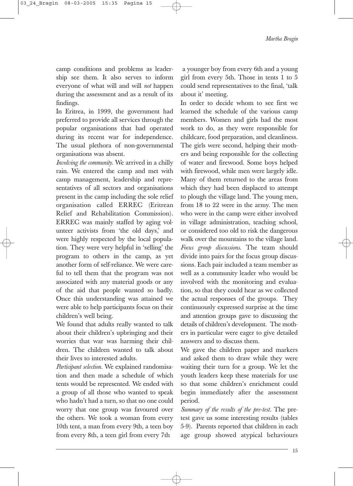camp conditions and problems as leadership see them. It also serves to inform everyone of what will and will *not* happen during the assessment and as a result of its findings.

In Eritrea, in 1999, the government had preferred to provide all services through the popular organisations that had operated during its recent war for independence. The usual plethora of non-governmental organisations was absent.

*Involving the community.* We arrived in a chilly rain. We entered the camp and met with camp management, leadership and representatives of all sectors and organisations present in the camp including the sole relief organisation called ERREC (Eritrean Relief and Rehabilitation Commission). ERREC was mainly staffed by aging volunteer activists from 'the old days,' and were highly respected by the local population. They were very helpful in 'selling' the program to others in the camp, as yet another form of self-reliance. We were careful to tell them that the program was not associated with any material goods or any of the aid that people wanted so badly. Once this understanding was attained we were able to help participants focus on their children's well being.

We found that adults really wanted to talk about their children's upbringing and their worries that war was harming their children. The children wanted to talk about their lives to interested adults.

*Participant selection.* We explained randomisation and then made a schedule of which tents would be represented. We ended with a group of all those who wanted to speak who hadn't had a turn, so that no one could worry that one group was favoured over the others. We took a woman from every 10th tent, a man from every 9th, a teen boy from every 8th, a teen girl from every 7th

a younger boy from every 6th and a young girl from every 5th. Those in tents 1 to 5 could send representatives to the final, 'talk about it' meeting.

In order to decide whom to see first we learned the schedule of the various camp members. Women and girls had the most work to do, as they were responsible for childcare, food preparation, and cleanliness. The girls were second, helping their mothers and being responsible for the collecting of water and firewood. Some boys helped with firewood, while men were largely idle. Many of them returned to the areas from which they had been displaced to attempt to plough the village land. The young men, from 18 to 22 were in the army. The men who were in the camp were either involved in village administration, teaching school, or considered too old to risk the dangerous walk over the mountains to the village land. *Focus group discussions*. The team should divide into pairs for the focus group discussions. Each pair included a team member as well as a community leader who would be involved with the monitoring and evaluation, so that they could hear as we collected the actual responses of the groups. They continuously expressed surprise at the time and attention groups gave to discussing the details of children's development. The mothers in particular were eager to give detailed answers and to discuss them.

We gave the children paper and markers and asked them to draw while they were waiting their turn for a group. We let the youth leaders keep these materials for use so that some children's enrichment could begin immediately after the assessment period.

*Summary of the results of the pre-test.* The pretest gave us some interesting results (tables 5-9). Parents reported that children in each age group showed atypical behaviours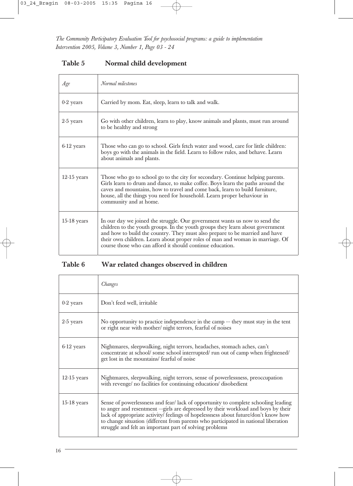# **Table 5 Normal child development**

| Age           | Normal milestones                                                                                                                                                                                                                                                                                                                                                                        |
|---------------|------------------------------------------------------------------------------------------------------------------------------------------------------------------------------------------------------------------------------------------------------------------------------------------------------------------------------------------------------------------------------------------|
| $0-2$ years   | Carried by mom. Eat, sleep, learn to talk and walk.                                                                                                                                                                                                                                                                                                                                      |
| $2-5$ years   | Go with other children, learn to play, know animals and plants, must run around<br>to be healthy and strong                                                                                                                                                                                                                                                                              |
| $6-12$ years  | Those who can go to school. Girls fetch water and wood, care for little children:<br>boys go with the animals in the field. Learn to follow rules, and behave. Learn<br>about animals and plants.                                                                                                                                                                                        |
| $12-15$ years | Those who go to school go to the city for secondary. Continue helping parents.<br>Girls learn to drum and dance, to make coffee. Boys learn the paths around the<br>caves and mountains, how to travel and come back, learn to build furniture,<br>house, all the things you need for household. Learn proper behaviour in<br>community and at home.                                     |
| $15-18$ years | In our day we joined the struggle. Our government wants us now to send the<br>children to the youth groups. In the youth groups they learn about government<br>and how to build the country. They must also prepare to be married and have<br>their own children. Learn about proper roles of man and woman in marriage. Of<br>course those who can afford it should continue education. |

# **Table 6 War related changes observed in children**

|               | Changes                                                                                                                                                                                                                                                                                                                                                                                                         |
|---------------|-----------------------------------------------------------------------------------------------------------------------------------------------------------------------------------------------------------------------------------------------------------------------------------------------------------------------------------------------------------------------------------------------------------------|
| $0-2$ years   | Don't feed well, irritable                                                                                                                                                                                                                                                                                                                                                                                      |
| $2-5$ years   | No opportunity to practice independence in the camp — they must stay in the tent<br>or right near with mother/ night terrors, fearful of noises                                                                                                                                                                                                                                                                 |
| $6-12$ years  | Nightmares, sleepwalking, night terrors, headaches, stomach aches, can't<br>concentrate at school/ some school interrupted/ run out of camp when frightened/<br>get lost in the mountains/ fearful of noise                                                                                                                                                                                                     |
| $12-15$ years | Nightmares, sleepwalking, night terrors, sense of powerlessness, preoccupation<br>with revenge/ no facilities for continuing education/ disobedient                                                                                                                                                                                                                                                             |
| $15-18$ years | Sense of powerlessness and fear/lack of opportunity to complete schooling leading<br>to anger and resentment ---girls are depressed by their workload and boys by their<br>lack of appropriate activity/ feelings of hopelessness about future/don't know how<br>to change situation (different from parents who participated in national liberation<br>struggle and felt an important part of solving problems |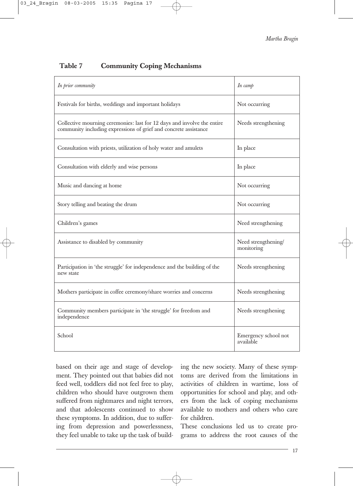*Martha Bragin*

# **Table 7 Community Coping Mechanisms**

| In prior community                                                                                                                          | In $\alpha$ mp                    |
|---------------------------------------------------------------------------------------------------------------------------------------------|-----------------------------------|
| Festivals for births, weddings and important holidays                                                                                       | Not occurring                     |
| Collective mourning ceremonies: last for 12 days and involve the entire<br>community including expressions of grief and concrete assistance | Needs strengthening               |
| Consultation with priests, utilization of holy water and amulets                                                                            | In place                          |
| Consultation with elderly and wise persons                                                                                                  | In place                          |
| Music and dancing at home                                                                                                                   | Not occurring                     |
| Story telling and beating the drum                                                                                                          | Not occurring                     |
| Children's games                                                                                                                            | Need strengthening                |
| Assistance to disabled by community                                                                                                         | Need strengthening/<br>monitoring |
| Participation in 'the struggle' for independence and the building of the<br>new state                                                       | Needs strengthening               |
| Mothers participate in coffee ceremony/share worries and concerns                                                                           | Needs strengthening               |
| Community members participate in 'the struggle' for freedom and<br>independence                                                             | Needs strengthening               |
| School                                                                                                                                      | Emergency school not<br>available |

based on their age and stage of development. They pointed out that babies did not feed well, toddlers did not feel free to play, children who should have outgrown them suffered from nightmares and night terrors, and that adolescents continued to show these symptoms. In addition, due to suffering from depression and powerlessness, they feel unable to take up the task of building the new society. Many of these symptoms are derived from the limitations in activities of children in wartime, loss of opportunities for school and play, and others from the lack of coping mechanisms available to mothers and others who care for children.

These conclusions led us to create programs to address the root causes of the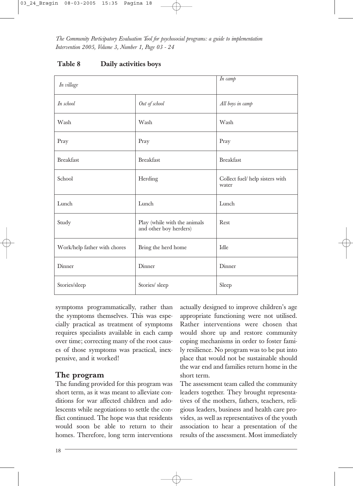| In village                   |                                                        | In camp                                  |
|------------------------------|--------------------------------------------------------|------------------------------------------|
| In school                    | Out of school                                          | All boys in camp                         |
| Wash                         | Wash                                                   | Wash                                     |
| Pray                         | Pray                                                   | Pray                                     |
| <b>Breakfast</b>             | <b>Breakfast</b>                                       | <b>Breakfast</b>                         |
| School                       | Herding                                                | Collect fuel/ help sisters with<br>water |
| Lunch                        | Lunch                                                  | Lunch                                    |
| Study                        | Play (while with the animals<br>and other boy herders) | Rest                                     |
| Work/help father with chores | Bring the herd home                                    | Idle                                     |
| Dinner                       | Dinner                                                 | Dinner                                   |
| Stories/sleep                | Stories/ sleep                                         | Sleep                                    |

#### **Table 8 Daily activities boys**

symptoms programmatically, rather than the symptoms themselves. This was especially practical as treatment of symptoms requires specialists available in each camp over time; correcting many of the root causes of those symptoms was practical, inexpensive, and it worked!

# **The program**

The funding provided for this program was short term, as it was meant to alleviate conditions for war affected children and adolescents while negotiations to settle the conflict continued. The hope was that residents would soon be able to return to their homes. Therefore, long term interventions actually designed to improve children's age appropriate functioning were not utilised. Rather interventions were chosen that would shore up and restore community coping mechanisms in order to foster family resilience. No program was to be put into place that would not be sustainable should the war end and families return home in the short term.

The assessment team called the community leaders together. They brought representatives of the mothers, fathers, teachers, religious leaders, business and health care provides, as well as representatives of the youth association to hear a presentation of the results of the assessment. Most immediately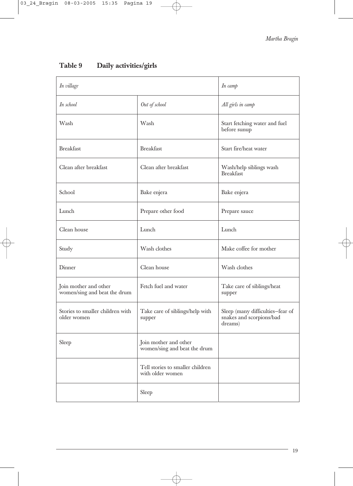| In village                                            |                                                       | In camp                                                                 |
|-------------------------------------------------------|-------------------------------------------------------|-------------------------------------------------------------------------|
| In school                                             | Out of school                                         | All girls in camp                                                       |
| Wash                                                  | Wash                                                  | Start fetching water and fuel<br>before sunup                           |
| <b>Breakfast</b>                                      | <b>Breakfast</b>                                      | Start fire/heat water                                                   |
| Clean after breakfast                                 | Clean after breakfast                                 | Wash/help siblings wash<br><b>Breakfast</b>                             |
| School                                                | Bake enjera                                           | Bake enjera                                                             |
| Lunch                                                 | Prepare other food                                    | Prepare sauce                                                           |
| Clean house                                           | Lunch                                                 | Lunch                                                                   |
| Study                                                 | Wash clothes                                          | Make coffee for mother                                                  |
| Dinner                                                | Clean house                                           | Wash clothes                                                            |
| Join mother and other<br>women/sing and beat the drum | Fetch fuel and water                                  | Take care of siblings/heat<br>supper                                    |
| Stories to smaller children with<br>older women       | Take care of siblings/help with<br>supper             | Sleep (many difficulties-fear of<br>snakes and scorpions/bad<br>dreams) |
| Sleep                                                 | Join mother and other<br>women/sing and beat the drum |                                                                         |
|                                                       | Tell stories to smaller children<br>with older women  |                                                                         |
|                                                       | Sleep                                                 |                                                                         |

Ŧ

# **Table 9 Daily activities/girls**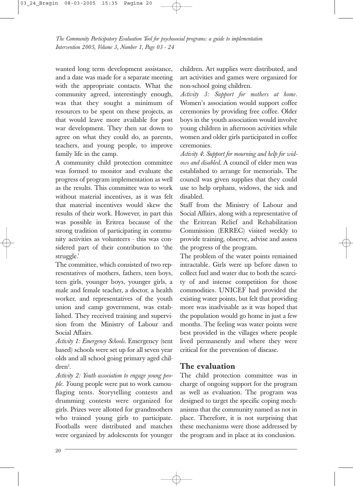wanted long term development assistance, and a date was made for a separate meeting with the appropriate contacts. What the community agreed, interestingly enough, was that they sought a minimum of resources to be spent on these projects, as that would leave more available for post war development. They then sat down to agree on what they could do, as parents, teachers, and young people, to improve family life in the camp.

A community child protection committee was formed to monitor and evaluate the progress of program implementation as well as the results. This committee was to work without material incentives, as it was felt that material incentives would skew the results of their work. However, in part this was possible in Eritrea because of the strong tradition of participating in community activities as volunteers - this was considered part of their contribution to 'the struggle.'

The committee, which consisted of two representatives of mothers, fathers, teen boys, teen girls, younger boys, younger girls, a male and female teacher, a doctor, a health worker, and representatives of the youth union and camp government, was established. They received training and supervision from the Ministry of Labour and Social Affairs.

*Activity 1: Emergency Schools.* Emergency (tent based) schools were set up for all seven year olds and all school going primary aged chil $dren<sup>2</sup>$ .

*Activity 2: Youth association to engage young people. Y*oung people were put to work camouflaging tents. Storytelling contests and drumming contests were organized for girls. Prizes were allotted for grandmothers who trained young girls to participate. Footballs were distributed and matches were organized by adolescents for younger

children. Art supplies were distributed, and art activities and games were organized for non-school going children.

*Activity 3: Support for mothers at home.* Women's association would support coffee ceremonies by providing free coffee. Older boys in the youth association would involve young children in afternoon activities while women and older girls participated in coffee ceremonies.

*Activity 4*: *Support for mourning and help for widows and disabled*. A council of elder men was established to arrange for memorials. The council was given supplies that they could use to help orphans, widows, the sick and disabled.

Staff from the Ministry of Labour and Social Affairs, along with a representative of the Eritrean Relief and Rehabilitation Commission (ERREC) visited weekly to provide training, observe, advise and assess the progress of the program.

The problem of the water points remained intractable. Girls were up before dawn to collect fuel and water due to both the scarcity of and intense competition for those commodities. UNICEF had provided the existing water points, but felt that providing more was inadvisable as it was hoped that the population would go home in just a few months. The feeling was water points were best provided in the villages where people lived permanently and where they were critical for the prevention of disease.

# **The evaluation**

The child protection committee was in charge of ongoing support for the program as well as evaluation. The program was designed to target the specific coping mechanisms that the community named as not in place. Therefore, it is not surprising that these mechanisms were those addressed by the program and in place at its conclusion.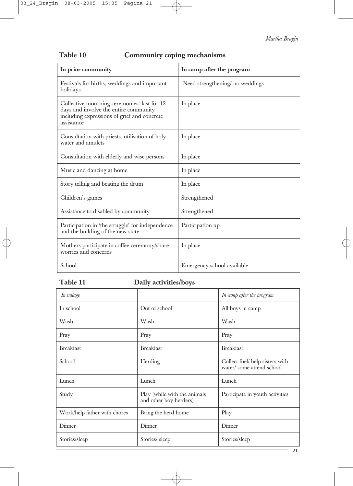*Martha Bragin*

| In prior community                                                                                                                                | In camp after the program      |
|---------------------------------------------------------------------------------------------------------------------------------------------------|--------------------------------|
| Festivals for births, weddings and important<br>holidays                                                                                          | Need strengthening no weddings |
| Collective mourning ceremonies: last for 12<br>days and involve the entire community<br>including expressions of grief and concrete<br>assistance | In place                       |
| Consultation with priests, utilisation of holy<br>water and amulets                                                                               | In place                       |
| Consultation with elderly and wise persons                                                                                                        | In place                       |
| Music and dancing at home                                                                                                                         | In place                       |
| Story telling and beating the drum                                                                                                                | In place                       |
| Children's games                                                                                                                                  | Strengthened                   |
| Assistance to disabled by community                                                                                                               | Strengthened                   |
| Participation in 'the struggle' for independence<br>and the building of the new state                                                             | Participation up               |
| Mothers participate in coffee ceremony/share<br>worries and concerns                                                                              | In place                       |
| School                                                                                                                                            | Emergency school available     |

# **Table 10 Community coping mechanisms**

# **Table 11 Daily activities/boys**

| In village                   |                                                        | In camp after the program                                   |
|------------------------------|--------------------------------------------------------|-------------------------------------------------------------|
| In school                    | Out of school                                          | All boys in camp                                            |
| Wash                         | Wash                                                   | Wash                                                        |
| Pray                         | Pray                                                   | Pray                                                        |
| <b>Breakfast</b>             | <b>Breakfast</b>                                       | <b>Breakfast</b>                                            |
| School                       | Herding                                                | Collect fuel/ help sisters with<br>water/some attend school |
| Lunch                        | Lunch                                                  | Lunch                                                       |
| Study                        | Play (while with the animals<br>and other boy herders) | Participate in youth activities                             |
| Work/help father with chores | Bring the herd home                                    | Play                                                        |
| Dinner                       | Dinner                                                 | Dinner                                                      |
| Stories/sleep                | Stories/sleep                                          | Stories/sleep                                               |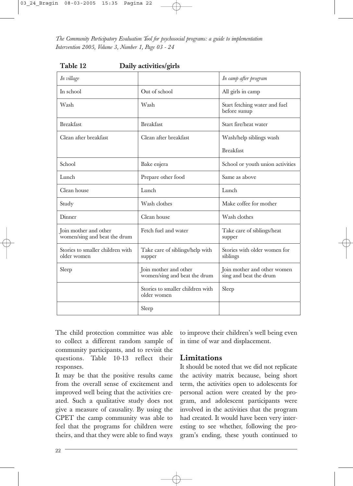| ◢<br>In village                                       | ల                                                     | In camp after program                                 |
|-------------------------------------------------------|-------------------------------------------------------|-------------------------------------------------------|
| In school                                             | Out of school                                         | All girls in camp                                     |
| Wash                                                  | Wash                                                  | Start fetching water and fuel<br>before sunup         |
| <b>Breakfast</b>                                      | <b>Breakfast</b>                                      | Start fire/heat water                                 |
| Clean after breakfast                                 | Clean after breakfast                                 | Wash/help siblings wash                               |
|                                                       |                                                       | <b>Breakfast</b>                                      |
| School                                                | Bake enjera                                           | School or youth union activities                      |
| Lunch                                                 | Prepare other food                                    | Same as above                                         |
| Clean house                                           | Lunch                                                 | Lunch                                                 |
| Study                                                 | Wash clothes                                          | Make coffee for mother                                |
| Dinner                                                | Clean house                                           | Wash clothes                                          |
| Join mother and other<br>women/sing and beat the drum | Fetch fuel and water                                  | Take care of siblings/heat<br>supper                  |
| Stories to smaller children with<br>older women       | Take care of siblings/help with<br>supper             | Stories with older women for<br>siblings              |
| Sleep                                                 | Join mother and other<br>women/sing and beat the drum | Join mother and other women<br>sing and beat the drum |
|                                                       | Stories to smaller children with<br>older women       | Sleep                                                 |
|                                                       | Sleep                                                 |                                                       |

**Table 12 Daily activities/girls**

The child protection committee was able to collect a different random sample of community participants, and to revisit the questions. Table 10-13 reflect their responses.

It may be that the positive results came from the overall sense of excitement and improved well being that the activities created. Such a qualitative study does not give a measure of causality. By using the CPET the camp community was able to feel that the programs for children were theirs, and that they were able to find ways to improve their children's well being even in time of war and displacement.

# **Limitations**

It should be noted that we did not replicate the activity matrix because, being short term, the activities open to adolescents for personal action were created by the program, and adolescent participants were involved in the activities that the program had created. It would have been very interesting to see whether, following the program's ending, these youth continued to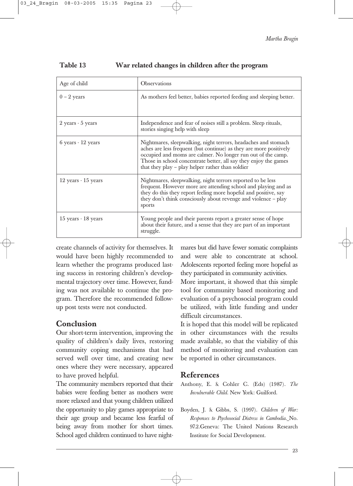| Age of child           | <b>Observations</b>                                                                                                                                                                                                                                                                                                          |  |
|------------------------|------------------------------------------------------------------------------------------------------------------------------------------------------------------------------------------------------------------------------------------------------------------------------------------------------------------------------|--|
| $0 - 2$ years          | As mothers feel better, babies reported feeding and sleeping better.                                                                                                                                                                                                                                                         |  |
| $2$ years $-5$ years   | Independence and fear of noises still a problem. Sleep rituals,<br>stories singing help with sleep                                                                                                                                                                                                                           |  |
| $6$ years $-12$ years  | Nightmares, sleepwalking, night terrors, headaches and stomach<br>aches are less frequent (but continue) as they are more positively<br>occupied and moms are calmer. No longer run out of the camp.<br>Those in school concentrate better, all say they enjoy the games<br>that they play – play helper rather than soldier |  |
| $12$ years $-15$ years | Nightmares, sleepwalking, night terrors reported to be less<br>frequent. However more are attending school and playing and as<br>they do this they report feeling more hopeful and positive, say<br>they don't think consciously about revenge and violence - play<br>sports                                                 |  |
| $15$ years $-18$ years | Young people and their parents report a greater sense of hope<br>about their future, and a sense that they are part of an important<br>struggle.                                                                                                                                                                             |  |

#### **Table 13 War related changes in children after the program**

create channels of activity for themselves. It would have been highly recommended to learn whether the programs produced lasting success in restoring children's developmental trajectory over time. However, funding was not available to continue the program. Therefore the recommended followup post tests were not conducted.

# **Conclusion**

Our short-term intervention, improving the quality of children's daily lives, restoring community coping mechanisms that had served well over time, and creating new ones where they were necessary, appeared to have proved helpful.

The community members reported that their babies were feeding better as mothers were more relaxed and that young children utilized the opportunity to play games appropriate to their age group and became less fearful of being away from mother for short times. School aged children continued to have nightmares but did have fewer somatic complaints and were able to concentrate at school. Adolescents reported feeling more hopeful as they participated in community activities.

More important, it showed that this simple tool for community based monitoring and evaluation of a psychosocial program could be utilized, with little funding and under difficult circumstances.

It is hoped that this model will be replicated in other circumstances with the results made available, so that the viability of this method of monitoring and evaluation can be reported in other circumstances.

# **References**

Anthony, E. & Cohler C. (Eds) (1987). *The Invulnerable Child.* New York: Guilford.

Boyden, J. & Gibbs, S. (1997). *Children of War: Responses to Psychosocial Distress in Cambodia.* No. 97.2.Geneva: The United Nations Research Institute for Social Development.